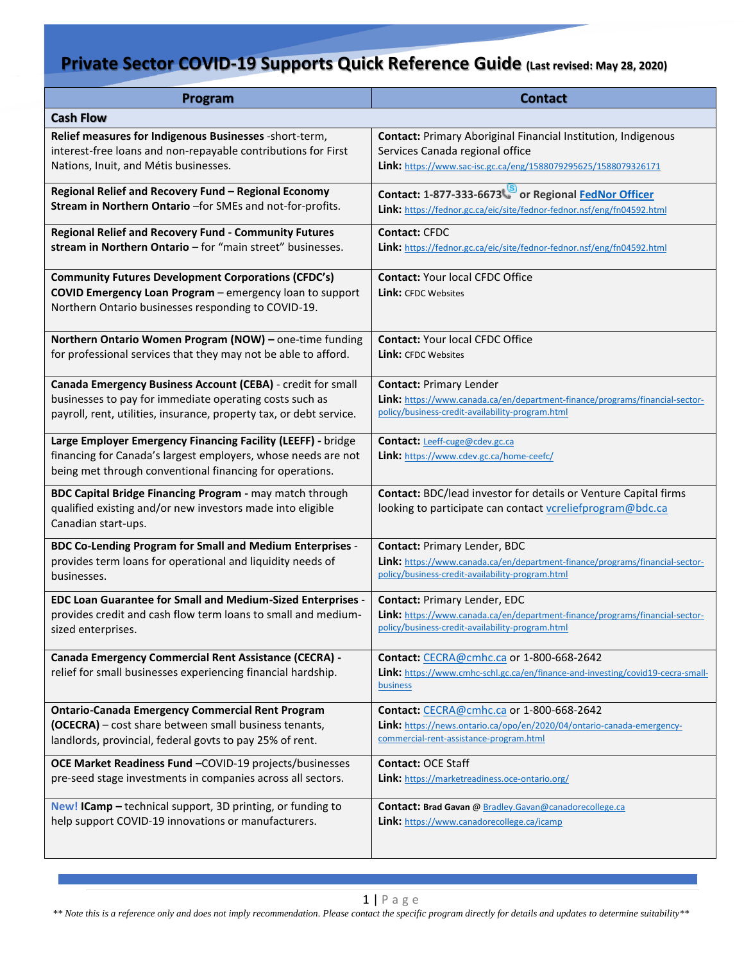| Program                                                                                                                                                                                   | <b>Contact</b>                                                                                                                          |
|-------------------------------------------------------------------------------------------------------------------------------------------------------------------------------------------|-----------------------------------------------------------------------------------------------------------------------------------------|
| <b>Cash Flow</b>                                                                                                                                                                          |                                                                                                                                         |
| Relief measures for Indigenous Businesses -short-term,                                                                                                                                    | <b>Contact: Primary Aboriginal Financial Institution, Indigenous</b>                                                                    |
| interest-free loans and non-repayable contributions for First                                                                                                                             | Services Canada regional office                                                                                                         |
| Nations, Inuit, and Métis businesses.                                                                                                                                                     | Link: https://www.sac-isc.gc.ca/eng/1588079295625/1588079326171                                                                         |
| Regional Relief and Recovery Fund - Regional Economy                                                                                                                                      | Contact: 1-877-333-6673 or Regional FedNor Officer                                                                                      |
| Stream in Northern Ontario -for SMEs and not-for-profits.                                                                                                                                 | Link: https://fednor.gc.ca/eic/site/fednor-fednor.nsf/eng/fn04592.html                                                                  |
| <b>Regional Relief and Recovery Fund - Community Futures</b>                                                                                                                              | <b>Contact: CFDC</b>                                                                                                                    |
| stream in Northern Ontario - for "main street" businesses.                                                                                                                                | Link: https://fednor.gc.ca/eic/site/fednor-fednor.nsf/eng/fn04592.html                                                                  |
| <b>Community Futures Development Corporations (CFDC's)</b><br>COVID Emergency Loan Program - emergency loan to support<br>Northern Ontario businesses responding to COVID-19.             | <b>Contact: Your local CFDC Office</b><br><b>Link:</b> CFDC Websites                                                                    |
| Northern Ontario Women Program (NOW) - one-time funding                                                                                                                                   | <b>Contact: Your local CFDC Office</b>                                                                                                  |
| for professional services that they may not be able to afford.                                                                                                                            | <b>Link:</b> CFDC Websites                                                                                                              |
| Canada Emergency Business Account (CEBA) - credit for small                                                                                                                               | <b>Contact: Primary Lender</b>                                                                                                          |
| businesses to pay for immediate operating costs such as                                                                                                                                   | Link: https://www.canada.ca/en/department-finance/programs/financial-sector-                                                            |
| payroll, rent, utilities, insurance, property tax, or debt service.                                                                                                                       | policy/business-credit-availability-program.html                                                                                        |
| Large Employer Emergency Financing Facility (LEEFF) - bridge<br>financing for Canada's largest employers, whose needs are not<br>being met through conventional financing for operations. | Contact: Leeff-cuge@cdev.gc.ca<br>Link: https://www.cdev.gc.ca/home-ceefc/                                                              |
| BDC Capital Bridge Financing Program - may match through<br>qualified existing and/or new investors made into eligible<br>Canadian start-ups.                                             | Contact: BDC/lead investor for details or Venture Capital firms<br>looking to participate can contact vcreliefprogram@bdc.ca            |
| BDC Co-Lending Program for Small and Medium Enterprises -                                                                                                                                 | Contact: Primary Lender, BDC                                                                                                            |
| provides term loans for operational and liquidity needs of                                                                                                                                | Link: https://www.canada.ca/en/department-finance/programs/financial-sector-                                                            |
| businesses.                                                                                                                                                                               | policy/business-credit-availability-program.html                                                                                        |
| <b>EDC Loan Guarantee for Small and Medium-Sized Enterprises -</b>                                                                                                                        | <b>Contact: Primary Lender, EDC</b>                                                                                                     |
| provides credit and cash flow term loans to small and medium-                                                                                                                             | Link: https://www.canada.ca/en/department-finance/programs/financial-sector-                                                            |
| sized enterprises.                                                                                                                                                                        | policy/business-credit-availability-program.html                                                                                        |
| <b>Canada Emergency Commercial Rent Assistance (CECRA) -</b><br>relief for small businesses experiencing financial hardship.                                                              | Contact: CECRA@cmhc.ca or 1-800-668-2642<br>Link: https://www.cmhc-schl.gc.ca/en/finance-and-investing/covid19-cecra-small-<br>business |
| <b>Ontario-Canada Emergency Commercial Rent Program</b>                                                                                                                                   | Contact: CECRA@cmhc.ca or 1-800-668-2642                                                                                                |
| (OCECRA) - cost share between small business tenants,                                                                                                                                     | Link: https://news.ontario.ca/opo/en/2020/04/ontario-canada-emergency-                                                                  |
| landlords, provincial, federal govts to pay 25% of rent.                                                                                                                                  | commercial-rent-assistance-program.html                                                                                                 |
| OCE Market Readiness Fund -COVID-19 projects/businesses                                                                                                                                   | Contact: OCE Staff                                                                                                                      |
| pre-seed stage investments in companies across all sectors.                                                                                                                               | Link: https://marketreadiness.oce-ontario.org/                                                                                          |
| New! ICamp - technical support, 3D printing, or funding to                                                                                                                                | Contact: Brad Gavan @ Bradley.Gavan@canadorecollege.ca                                                                                  |
| help support COVID-19 innovations or manufacturers.                                                                                                                                       | <b>Link:</b> https://www.canadorecollege.ca/icamp                                                                                       |

your reader's attention with a great quote from the document or use this space to emphasize a key point. [Grab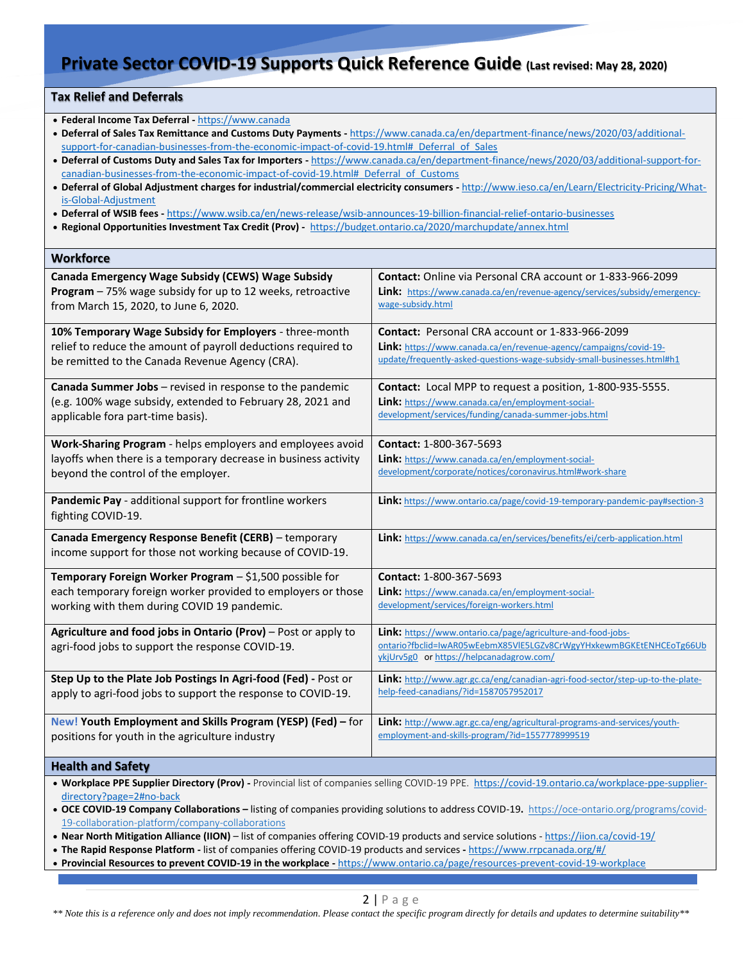### **Tax Relief and Deferrals**

- **Federal Income Tax Deferral -** [https://www.canada](https://www.canada/)
- **Deferral of Sales Tax Remittance and Customs Duty Payments -** [https://www.canada.ca/en/department-finance/news/2020/03/additional](https://www.canada.ca/en/department-finance/news/2020/03/additional-support-for-canadian-businesses-from-the-economic-impact-of-covid-19.html#_Deferral_of_Sales)[support-for-canadian-businesses-from-the-economic-impact-of-covid-19.html#\\_Deferral\\_of\\_Sales](https://www.canada.ca/en/department-finance/news/2020/03/additional-support-for-canadian-businesses-from-the-economic-impact-of-covid-19.html#_Deferral_of_Sales)
- **Deferral of Customs Duty and Sales Tax for Importers -** [https://www.canada.ca/en/department-finance/news/2020/03/additional-support-for](https://www.canada.ca/en/department-finance/news/2020/03/additional-support-for-canadian-businesses-from-the-economic-impact-of-covid-19.html#_Deferral_of_Customs)[canadian-businesses-from-the-economic-impact-of-covid-19.html#\\_Deferral\\_of\\_Customs](https://www.canada.ca/en/department-finance/news/2020/03/additional-support-for-canadian-businesses-from-the-economic-impact-of-covid-19.html#_Deferral_of_Customs)
- **Deferral of Global Adjustment charges for industrial/commercial electricity consumers -** [http://www.ieso.ca/en/Learn/Electricity-Pricing/What](http://www.ieso.ca/en/Learn/Electricity-Pricing/What-is-Global-Adjustment)[is-Global-Adjustment](http://www.ieso.ca/en/Learn/Electricity-Pricing/What-is-Global-Adjustment)
- **Deferral of WSIB fees -** <https://www.wsib.ca/en/news-release/wsib-announces-19-billion-financial-relief-ontario-businesses>
- **Regional Opportunities Investment Tax Credit (Prov) -**<https://budget.ontario.ca/2020/marchupdate/annex.html>

| <b>Workforce</b>                                                                                                                                                                                                                                                                                                                     |                                                                                                                                                                                 |  |
|--------------------------------------------------------------------------------------------------------------------------------------------------------------------------------------------------------------------------------------------------------------------------------------------------------------------------------------|---------------------------------------------------------------------------------------------------------------------------------------------------------------------------------|--|
| Canada Emergency Wage Subsidy (CEWS) Wage Subsidy                                                                                                                                                                                                                                                                                    | Contact: Online via Personal CRA account or 1-833-966-2099                                                                                                                      |  |
| Program - 75% wage subsidy for up to 12 weeks, retroactive                                                                                                                                                                                                                                                                           | Link: https://www.canada.ca/en/revenue-agency/services/subsidy/emergency-                                                                                                       |  |
| from March 15, 2020, to June 6, 2020.                                                                                                                                                                                                                                                                                                | wage-subsidy.html                                                                                                                                                               |  |
| 10% Temporary Wage Subsidy for Employers - three-month                                                                                                                                                                                                                                                                               | Contact: Personal CRA account or 1-833-966-2099                                                                                                                                 |  |
| relief to reduce the amount of payroll deductions required to                                                                                                                                                                                                                                                                        | Link: https://www.canada.ca/en/revenue-agency/campaigns/covid-19-                                                                                                               |  |
| be remitted to the Canada Revenue Agency (CRA).                                                                                                                                                                                                                                                                                      | update/frequently-asked-questions-wage-subsidy-small-businesses.html#h1                                                                                                         |  |
| Canada Summer Jobs - revised in response to the pandemic                                                                                                                                                                                                                                                                             | Contact: Local MPP to request a position, 1-800-935-5555.                                                                                                                       |  |
| (e.g. 100% wage subsidy, extended to February 28, 2021 and                                                                                                                                                                                                                                                                           | <b>Link:</b> https://www.canada.ca/en/employment-social-                                                                                                                        |  |
| applicable fora part-time basis).                                                                                                                                                                                                                                                                                                    | development/services/funding/canada-summer-jobs.html                                                                                                                            |  |
| Work-Sharing Program - helps employers and employees avoid                                                                                                                                                                                                                                                                           | Contact: 1-800-367-5693                                                                                                                                                         |  |
| layoffs when there is a temporary decrease in business activity                                                                                                                                                                                                                                                                      | Link: https://www.canada.ca/en/employment-social-                                                                                                                               |  |
| beyond the control of the employer.                                                                                                                                                                                                                                                                                                  | development/corporate/notices/coronavirus.html#work-share                                                                                                                       |  |
| Pandemic Pay - additional support for frontline workers<br>fighting COVID-19.                                                                                                                                                                                                                                                        | <b>Link:</b> https://www.ontario.ca/page/covid-19-temporary-pandemic-pay#section-3                                                                                              |  |
| Canada Emergency Response Benefit (CERB) - temporary<br>income support for those not working because of COVID-19.                                                                                                                                                                                                                    | Link: https://www.canada.ca/en/services/benefits/ei/cerb-application.html                                                                                                       |  |
| Temporary Foreign Worker Program - \$1,500 possible for                                                                                                                                                                                                                                                                              | Contact: 1-800-367-5693                                                                                                                                                         |  |
| each temporary foreign worker provided to employers or those                                                                                                                                                                                                                                                                         | Link: https://www.canada.ca/en/employment-social-                                                                                                                               |  |
| working with them during COVID 19 pandemic.                                                                                                                                                                                                                                                                                          | development/services/foreign-workers.html                                                                                                                                       |  |
| Agriculture and food jobs in Ontario (Prov) - Post or apply to<br>agri-food jobs to support the response COVID-19.                                                                                                                                                                                                                   | Link: https://www.ontario.ca/page/agriculture-and-food-jobs-<br>ontario?fbclid=IwAR05wEebmX85VIE5LGZv8CrWgyYHxkewmBGKEtENHCEoTg66Ub<br>ykjUrv5g0 or https://helpcanadagrow.com/ |  |
| Step Up to the Plate Job Postings In Agri-food (Fed) - Post or                                                                                                                                                                                                                                                                       | Link: http://www.agr.gc.ca/eng/canadian-agri-food-sector/step-up-to-the-plate-                                                                                                  |  |
| apply to agri-food jobs to support the response to COVID-19.                                                                                                                                                                                                                                                                         | help-feed-canadians/?id=1587057952017                                                                                                                                           |  |
| New! Youth Employment and Skills Program (YESP) (Fed) - for                                                                                                                                                                                                                                                                          | Link: http://www.agr.gc.ca/eng/agricultural-programs-and-services/youth-                                                                                                        |  |
| positions for youth in the agriculture industry                                                                                                                                                                                                                                                                                      | employment-and-skills-program/?id=1557778999519                                                                                                                                 |  |
| <b>Health and Safety</b>                                                                                                                                                                                                                                                                                                             |                                                                                                                                                                                 |  |
| . Workplace PPE Supplier Directory (Prov) - Provincial list of companies selling COVID-19 PPE. https://covid-19.ontario.ca/workplace-ppe-supplier-<br>directory?page=2#no-back<br>$\Omega$ CE COVID-19 Company Collaborations – listing of companies providing solutions to address COVID-19 https://oce-optario.org/programs/covid- |                                                                                                                                                                                 |  |

• **OCE COVID-19 Company Collaborations –** listing of companies providing solutions to address COVID-19**.** [https://oce-ontario.org/programs/covid-](https://oce-ontario.org/programs/covid-19-collaboration-platform/company-collaborations)[19-collaboration-platform/company-collaborations](https://oce-ontario.org/programs/covid-19-collaboration-platform/company-collaborations) 

- **Near North Mitigation Alliance (IION)** list of companies offering COVID-19 products and service solutions <https://iion.ca/covid-19/>
- **The Rapid Response Platform -** list of companies offering COVID-19 products and services **-** <https://www.rrpcanada.org/#/>
- your reader's attention with a great quote from the document or use this space to emphasize a key point. [Grab **Provincial Resources to prevent COVID-19 in the workplace -** <https://www.ontario.ca/page/resources-prevent-covid-19-workplace>

*\*\* Note this is a reference only and does not imply recommendation. Please contact the specific program directly for details and updates to determine suitability\*\**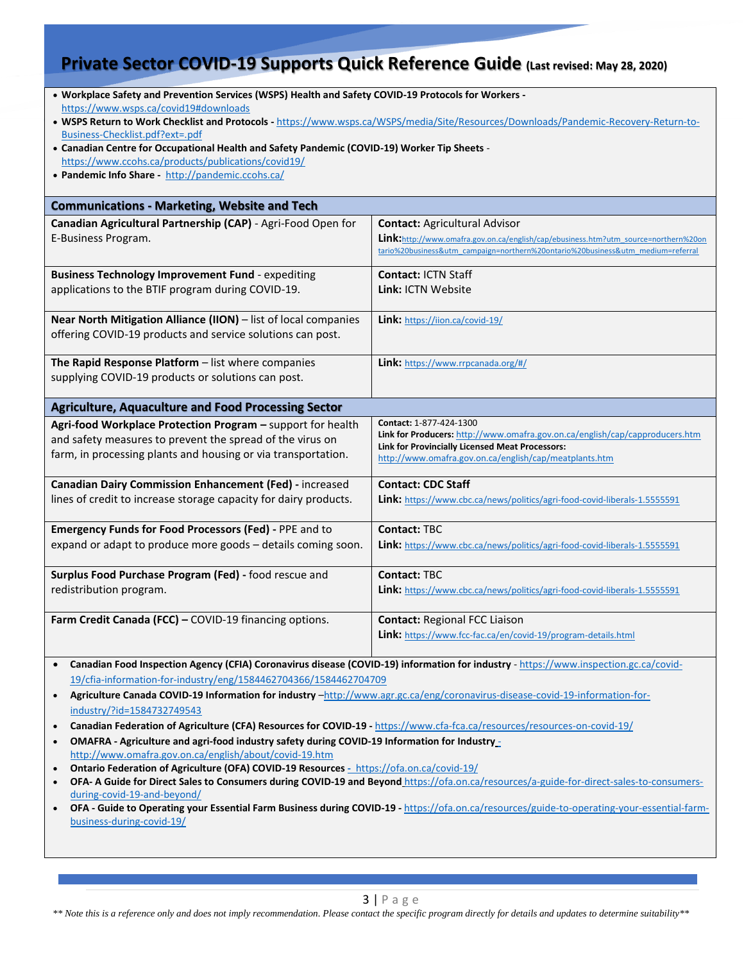| . Workplace Safety and Prevention Services (WSPS) Health and Safety COVID-19 Protocols for Workers -<br>https://www.wsps.ca/covid19#downloads<br>. WSPS Return to Work Checklist and Protocols - https://www.wsps.ca/WSPS/media/Site/Resources/Downloads/Pandemic-Recovery-Return-to-<br>Business-Checklist.pdf?ext=.pdf<br>• Canadian Centre for Occupational Health and Safety Pandemic (COVID-19) Worker Tip Sheets -<br>https://www.ccohs.ca/products/publications/covid19/<br>• Pandemic Info Share - http://pandemic.ccohs.ca/                                                                                                                                                                                                                                                                                                                                                                                                                                                                                                                                                                                                                                                                        |                                                                                                                                                                                                                             |  |
|-------------------------------------------------------------------------------------------------------------------------------------------------------------------------------------------------------------------------------------------------------------------------------------------------------------------------------------------------------------------------------------------------------------------------------------------------------------------------------------------------------------------------------------------------------------------------------------------------------------------------------------------------------------------------------------------------------------------------------------------------------------------------------------------------------------------------------------------------------------------------------------------------------------------------------------------------------------------------------------------------------------------------------------------------------------------------------------------------------------------------------------------------------------------------------------------------------------|-----------------------------------------------------------------------------------------------------------------------------------------------------------------------------------------------------------------------------|--|
| <b>Communications - Marketing, Website and Tech</b>                                                                                                                                                                                                                                                                                                                                                                                                                                                                                                                                                                                                                                                                                                                                                                                                                                                                                                                                                                                                                                                                                                                                                         |                                                                                                                                                                                                                             |  |
| Canadian Agricultural Partnership (CAP) - Agri-Food Open for<br>E-Business Program.                                                                                                                                                                                                                                                                                                                                                                                                                                                                                                                                                                                                                                                                                                                                                                                                                                                                                                                                                                                                                                                                                                                         | <b>Contact: Agricultural Advisor</b><br>Link:http://www.omafra.gov.on.ca/english/cap/ebusiness.htm?utm_source=northern%20on<br>tario%20business&utm_campaign=northern%20ontario%20business&utm_medium=referral              |  |
| Business Technology Improvement Fund - expediting<br>applications to the BTIF program during COVID-19.                                                                                                                                                                                                                                                                                                                                                                                                                                                                                                                                                                                                                                                                                                                                                                                                                                                                                                                                                                                                                                                                                                      | <b>Contact: ICTN Staff</b><br>Link: ICTN Website                                                                                                                                                                            |  |
| Near North Mitigation Alliance (IION) - list of local companies<br>offering COVID-19 products and service solutions can post.                                                                                                                                                                                                                                                                                                                                                                                                                                                                                                                                                                                                                                                                                                                                                                                                                                                                                                                                                                                                                                                                               | Link: https://iion.ca/covid-19/                                                                                                                                                                                             |  |
| The Rapid Response Platform - list where companies<br>supplying COVID-19 products or solutions can post.                                                                                                                                                                                                                                                                                                                                                                                                                                                                                                                                                                                                                                                                                                                                                                                                                                                                                                                                                                                                                                                                                                    | Link: https://www.rrpcanada.org/#/                                                                                                                                                                                          |  |
| <b>Agriculture, Aquaculture and Food Processing Sector</b>                                                                                                                                                                                                                                                                                                                                                                                                                                                                                                                                                                                                                                                                                                                                                                                                                                                                                                                                                                                                                                                                                                                                                  |                                                                                                                                                                                                                             |  |
| Agri-food Workplace Protection Program - support for health<br>and safety measures to prevent the spread of the virus on<br>farm, in processing plants and housing or via transportation.                                                                                                                                                                                                                                                                                                                                                                                                                                                                                                                                                                                                                                                                                                                                                                                                                                                                                                                                                                                                                   | Contact: 1-877-424-1300<br>Link for Producers: http://www.omafra.gov.on.ca/english/cap/capproducers.htm<br><b>Link for Provincially Licensed Meat Processors:</b><br>http://www.omafra.gov.on.ca/english/cap/meatplants.htm |  |
| Canadian Dairy Commission Enhancement (Fed) - increased<br>lines of credit to increase storage capacity for dairy products.                                                                                                                                                                                                                                                                                                                                                                                                                                                                                                                                                                                                                                                                                                                                                                                                                                                                                                                                                                                                                                                                                 | <b>Contact: CDC Staff</b><br>Link: https://www.cbc.ca/news/politics/agri-food-covid-liberals-1.5555591                                                                                                                      |  |
| <b>Emergency Funds for Food Processors (Fed) - PPE and to</b><br>expand or adapt to produce more goods - details coming soon.                                                                                                                                                                                                                                                                                                                                                                                                                                                                                                                                                                                                                                                                                                                                                                                                                                                                                                                                                                                                                                                                               | <b>Contact: TBC</b><br>Link: https://www.cbc.ca/news/politics/agri-food-covid-liberals-1.5555591                                                                                                                            |  |
| Surplus Food Purchase Program (Fed) - food rescue and<br>redistribution program.                                                                                                                                                                                                                                                                                                                                                                                                                                                                                                                                                                                                                                                                                                                                                                                                                                                                                                                                                                                                                                                                                                                            | <b>Contact: TBC</b><br>Link: https://www.cbc.ca/news/politics/agri-food-covid-liberals-1.5555591                                                                                                                            |  |
| Farm Credit Canada (FCC) - COVID-19 financing options.                                                                                                                                                                                                                                                                                                                                                                                                                                                                                                                                                                                                                                                                                                                                                                                                                                                                                                                                                                                                                                                                                                                                                      | <b>Contact: Regional FCC Liaison</b><br>Link: https://www.fcc-fac.ca/en/covid-19/program-details.html                                                                                                                       |  |
| Canadian Food Inspection Agency (CFIA) Coronavirus disease (COVID-19) information for industry - https://www.inspection.gc.ca/covid-<br>$\bullet$<br>19/cfia-information-for-industry/eng/1584462704366/1584462704709<br>Agriculture Canada COVID-19 Information for industry -http://www.agr.gc.ca/eng/coronavirus-disease-covid-19-information-for-<br>$\bullet$<br>industry/?id=1584732749543<br>Canadian Federation of Agriculture (CFA) Resources for COVID-19 - https://www.cfa-fca.ca/resources/resources-on-covid-19/<br>$\bullet$<br>OMAFRA - Agriculture and agri-food industry safety during COVID-19 Information for Industry_<br>$\bullet$<br>http://www.omafra.gov.on.ca/english/about/covid-19.htm<br>Ontario Federation of Agriculture (OFA) COVID-19 Resources - https://ofa.on.ca/covid-19/<br>$\bullet$<br>OFA- A Guide for Direct Sales to Consumers during COVID-19 and Beyond https://ofa.on.ca/resources/a-guide-for-direct-sales-to-consumers-<br>$\bullet$<br>during-covid-19-and-beyond/<br>OFA - Guide to Operating your Essential Farm Business during COVID-19 - https://ofa.on.ca/resources/guide-to-operating-your-essential-farm-<br>$\bullet$<br>business-during-covid-19/ |                                                                                                                                                                                                                             |  |

your reader's attention with a great quote from the document or use this space to emphasize a key point. [Grab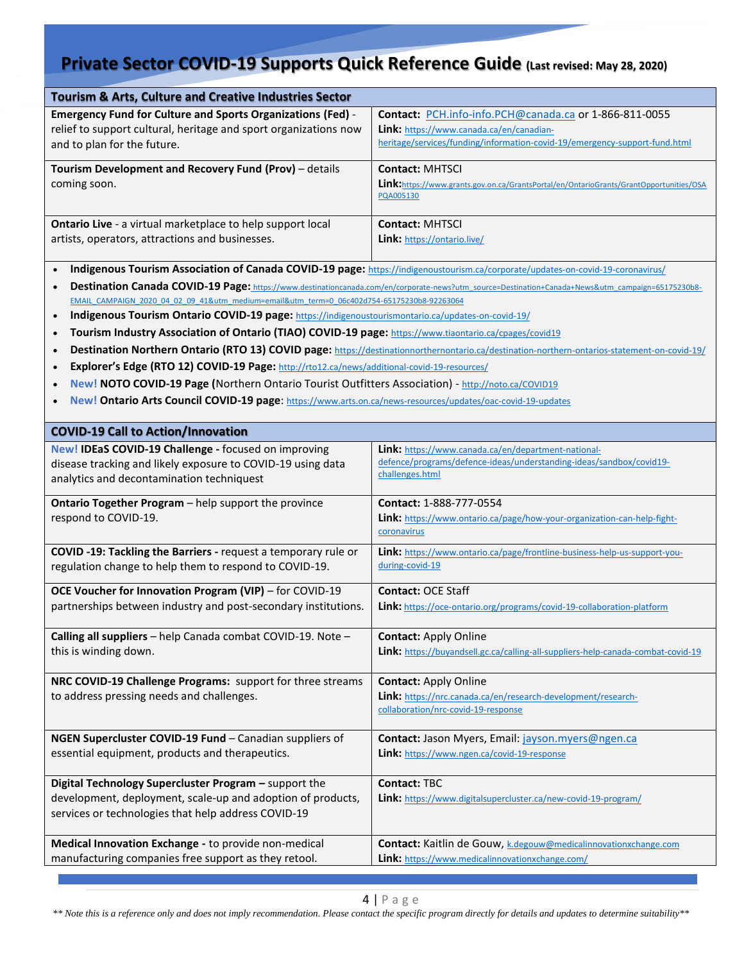| <b>Tourism &amp; Arts, Culture and Creative Industries Sector</b>                                                               |                                                                                                                                                   |  |
|---------------------------------------------------------------------------------------------------------------------------------|---------------------------------------------------------------------------------------------------------------------------------------------------|--|
| <b>Emergency Fund for Culture and Sports Organizations (Fed) -</b>                                                              | Contact: PCH.info-info.PCH@canada.ca or 1-866-811-0055                                                                                            |  |
| relief to support cultural, heritage and sport organizations now<br>and to plan for the future.                                 | Link: https://www.canada.ca/en/canadian-<br>heritage/services/funding/information-covid-19/emergency-support-fund.html                            |  |
| Tourism Development and Recovery Fund (Prov) - details                                                                          | <b>Contact: MHTSCI</b>                                                                                                                            |  |
| coming soon.                                                                                                                    | Link:https://www.grants.gov.on.ca/GrantsPortal/en/OntarioGrants/GrantOpportunities/OSA                                                            |  |
|                                                                                                                                 | PQA005130                                                                                                                                         |  |
| <b>Ontario Live</b> - a virtual marketplace to help support local                                                               | <b>Contact: MHTSCI</b>                                                                                                                            |  |
| artists, operators, attractions and businesses.                                                                                 | Link: https://ontario.live/                                                                                                                       |  |
| Indigenous Tourism Association of Canada COVID-19 page: https://indigenoustourism.ca/corporate/updates-on-covid-19-coronavirus/ |                                                                                                                                                   |  |
|                                                                                                                                 | Destination Canada COVID-19 Page: https://www.destinationcanada.com/en/corporate-news?utm source=Destination+Canada+News&utm campaign=65175230b8- |  |
| EMAIL CAMPAIGN 2020 04 02 09 41&utm medium=email&utm term=0 06c402d754-65175230b8-92263064                                      |                                                                                                                                                   |  |
| Indigenous Tourism Ontario COVID-19 page: https://indigenoustourismontario.ca/updates-on-covid-19/<br>$\bullet$                 |                                                                                                                                                   |  |
| Tourism Industry Association of Ontario (TIAO) COVID-19 page: https://www.tiaontario.ca/cpages/covid19                          |                                                                                                                                                   |  |
| $\bullet$                                                                                                                       | Destination Northern Ontario (RTO 13) COVID page: https://destinationnorthernontario.ca/destination-northern-ontarios-statement-on-covid-19/      |  |
| Explorer's Edge (RTO 12) COVID-19 Page: http://rto12.ca/news/additional-covid-19-resources/<br>$\bullet$                        |                                                                                                                                                   |  |
| New! NOTO COVID-19 Page (Northern Ontario Tourist Outfitters Association) - http://noto.ca/COVID19                              |                                                                                                                                                   |  |
| New! Ontario Arts Council COVID-19 page: https://www.arts.on.ca/news-resources/updates/oac-covid-19-updates<br>$\bullet$        |                                                                                                                                                   |  |
|                                                                                                                                 |                                                                                                                                                   |  |
| <b>COVID-19 Call to Action/Innovation</b>                                                                                       |                                                                                                                                                   |  |
| New! IDEaS COVID-19 Challenge - focused on improving                                                                            | <b>Link:</b> https://www.canada.ca/en/department-national-                                                                                        |  |
| disease tracking and likely exposure to COVID-19 using data                                                                     | defence/programs/defence-ideas/understanding-ideas/sandbox/covid19-                                                                               |  |
| analytics and decontamination techniquest                                                                                       | challenges.html                                                                                                                                   |  |
| Ontario Together Program - help support the province                                                                            | Contact: 1-888-777-0554                                                                                                                           |  |
| respond to COVID-19.                                                                                                            | Link: https://www.ontario.ca/page/how-your-organization-can-help-fight-                                                                           |  |
|                                                                                                                                 | coronavirus                                                                                                                                       |  |
| COVID -19: Tackling the Barriers - request a temporary rule or                                                                  | Link: https://www.ontario.ca/page/frontline-business-help-us-support-you-                                                                         |  |
| regulation change to help them to respond to COVID-19.                                                                          | during-covid-19                                                                                                                                   |  |
| OCE Voucher for Innovation Program (VIP) - for COVID-19                                                                         | <b>Contact: OCE Staff</b>                                                                                                                         |  |
| partnerships between industry and post-secondary institutions.                                                                  | Link: https://oce-ontario.org/programs/covid-19-collaboration-platform                                                                            |  |
|                                                                                                                                 |                                                                                                                                                   |  |
| Calling all suppliers - help Canada combat COVID-19. Note -                                                                     | <b>Contact: Apply Online</b>                                                                                                                      |  |
| this is winding down.                                                                                                           | Link: https://buyandsell.gc.ca/calling-all-suppliers-help-canada-combat-covid-19                                                                  |  |
| NRC COVID-19 Challenge Programs: support for three streams                                                                      | <b>Contact: Apply Online</b>                                                                                                                      |  |
| to address pressing needs and challenges.                                                                                       | Link: https://nrc.canada.ca/en/research-development/research-                                                                                     |  |
|                                                                                                                                 | collaboration/nrc-covid-19-response                                                                                                               |  |
| NGEN Supercluster COVID-19 Fund - Canadian suppliers of                                                                         | Contact: Jason Myers, Email: jayson.myers@ngen.ca                                                                                                 |  |
| essential equipment, products and therapeutics.                                                                                 | Link: https://www.ngen.ca/covid-19-response                                                                                                       |  |
|                                                                                                                                 |                                                                                                                                                   |  |
| Digital Technology Supercluster Program - support the                                                                           | <b>Contact: TBC</b>                                                                                                                               |  |
| development, deployment, scale-up and adoption of products,                                                                     | Link: https://www.digitalsupercluster.ca/new-covid-19-program/                                                                                    |  |
| services or technologies that help address COVID-19                                                                             |                                                                                                                                                   |  |
| Medical Innovation Exchange - to provide non-medical                                                                            | Contact: Kaitlin de Gouw, k.degouw@medicalinnovationxchange.com                                                                                   |  |
| manufacturing companies free support as they retool.                                                                            | Link: https://www.medicalinnovationxchange.com/                                                                                                   |  |
|                                                                                                                                 |                                                                                                                                                   |  |

*\*\* Note this is a reference only and does not imply recommendation. Please contact the specific program directly for details and updates to determine suitability\*\**